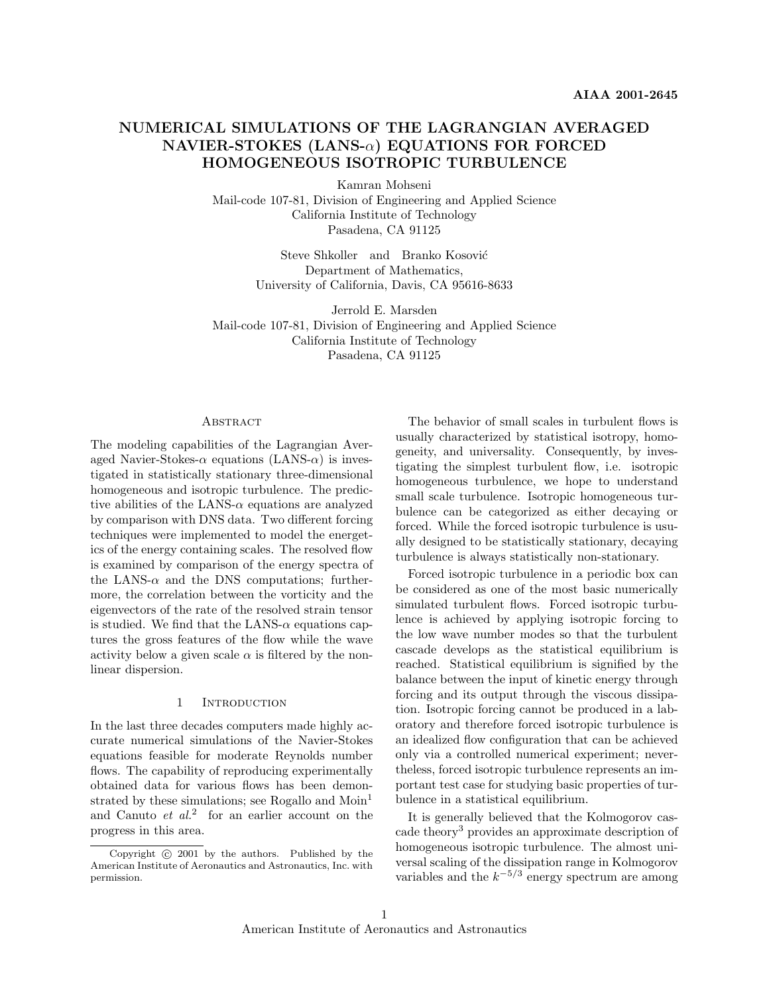# **NUMERICAL SIMULATIONS OF THE LAGRANGIAN AVERAGED NAVIER-STOKES (LANS-**α**) EQUATIONS FOR FORCED HOMOGENEOUS ISOTROPIC TURBULENCE**

Kamran Mohseni Mail-code 107-81, Division of Engineering and Applied Science California Institute of Technology Pasadena, CA 91125

> Steve Shkoller and Branko Kosović Department of Mathematics, University of California, Davis, CA 95616-8633

Jerrold E. Marsden Mail-code 107-81, Division of Engineering and Applied Science California Institute of Technology Pasadena, CA 91125

### **ABSTRACT**

The modeling capabilities of the Lagrangian Averaged Navier-Stokes- $\alpha$  equations (LANS- $\alpha$ ) is investigated in statistically stationary three-dimensional homogeneous and isotropic turbulence. The predictive abilities of the LANS- $\alpha$  equations are analyzed by comparison with DNS data. Two different forcing techniques were implemented to model the energetics of the energy containing scales. The resolved flow is examined by comparison of the energy spectra of the LANS- $\alpha$  and the DNS computations; furthermore, the correlation between the vorticity and the eigenvectors of the rate of the resolved strain tensor is studied. We find that the LANS- $\alpha$  equations captures the gross features of the flow while the wave activity below a given scale  $\alpha$  is filtered by the nonlinear dispersion.

### 1 INTRODUCTION

In the last three decades computers made highly accurate numerical simulations of the Navier-Stokes equations feasible for moderate Reynolds number flows. The capability of reproducing experimentally obtained data for various flows has been demonstrated by these simulations; see Rogallo and  $M$ oin<sup>1</sup> and Canuto *et al.*<sup>2</sup> for an earlier account on the progress in this area.

The behavior of small scales in turbulent flows is usually characterized by statistical isotropy, homogeneity, and universality. Consequently, by investigating the simplest turbulent flow, i.e. isotropic homogeneous turbulence, we hope to understand small scale turbulence. Isotropic homogeneous turbulence can be categorized as either decaying or forced. While the forced isotropic turbulence is usually designed to be statistically stationary, decaying turbulence is always statistically non-stationary.

Forced isotropic turbulence in a periodic box can be considered as one of the most basic numerically simulated turbulent flows. Forced isotropic turbulence is achieved by applying isotropic forcing to the low wave number modes so that the turbulent cascade develops as the statistical equilibrium is reached. Statistical equilibrium is signified by the balance between the input of kinetic energy through forcing and its output through the viscous dissipation. Isotropic forcing cannot be produced in a laboratory and therefore forced isotropic turbulence is an idealized flow configuration that can be achieved only via a controlled numerical experiment; nevertheless, forced isotropic turbulence represents an important test case for studying basic properties of turbulence in a statistical equilibrium.

It is generally believed that the Kolmogorov cascade theory<sup>3</sup> provides an approximate description of homogeneous isotropic turbulence. The almost universal scaling of the dissipation range in Kolmogorov variables and the  $k^{-5/3}$  energy spectrum are among

Copyright  $\odot$  2001 by the authors. Published by the American Institute of Aeronautics and Astronautics, Inc. with permission.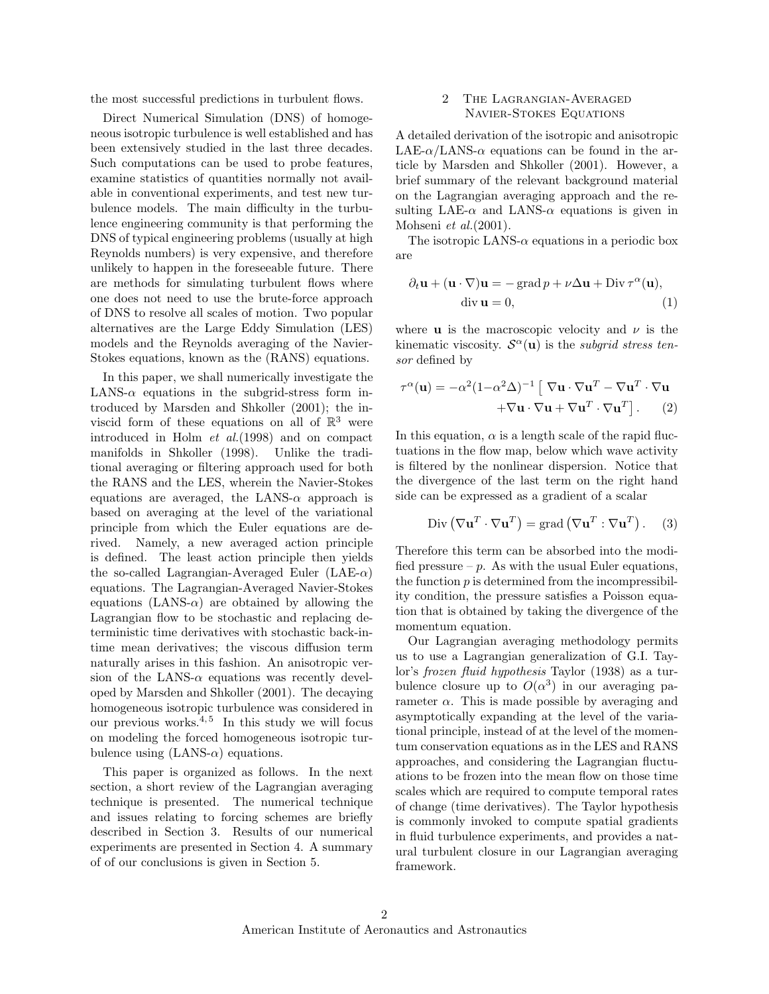the most successful predictions in turbulent flows.

Direct Numerical Simulation (DNS) of homogeneous isotropic turbulence is well established and has been extensively studied in the last three decades. Such computations can be used to probe features, examine statistics of quantities normally not available in conventional experiments, and test new turbulence models. The main difficulty in the turbulence engineering community is that performing the DNS of typical engineering problems (usually at high Reynolds numbers) is very expensive, and therefore unlikely to happen in the foreseeable future. There are methods for simulating turbulent flows where one does not need to use the brute-force approach of DNS to resolve all scales of motion. Two popular alternatives are the Large Eddy Simulation (LES) models and the Reynolds averaging of the Navier-Stokes equations, known as the (RANS) equations.

In this paper, we shall numerically investigate the LANS- $\alpha$  equations in the subgrid-stress form introduced by Marsden and Shkoller (2001); the inviscid form of these equations on all of  $\mathbb{R}^3$  were introduced in Holm *et al.*(1998) and on compact manifolds in Shkoller (1998). Unlike the traditional averaging or filtering approach used for both the RANS and the LES, wherein the Navier-Stokes equations are averaged, the LANS- $\alpha$  approach is based on averaging at the level of the variational principle from which the Euler equations are derived. Namely, a new averaged action principle is defined. The least action principle then yields the so-called Lagrangian-Averaged Euler (LAE- $\alpha$ ) equations. The Lagrangian-Averaged Navier-Stokes equations (LANS- $\alpha$ ) are obtained by allowing the Lagrangian flow to be stochastic and replacing deterministic time derivatives with stochastic back-intime mean derivatives; the viscous diffusion term naturally arises in this fashion. An anisotropic version of the LANS- $\alpha$  equations was recently developed by Marsden and Shkoller (2001). The decaying homogeneous isotropic turbulence was considered in our previous works. $4,5$  In this study we will focus on modeling the forced homogeneous isotropic turbulence using  $(LANS-\alpha)$  equations.

This paper is organized as follows. In the next section, a short review of the Lagrangian averaging technique is presented. The numerical technique and issues relating to forcing schemes are briefly described in Section 3. Results of our numerical experiments are presented in Section 4. A summary of of our conclusions is given in Section 5.

### 2 The Lagrangian-Averaged Navier-Stokes Equations

A detailed derivation of the isotropic and anisotropic LAE- $\alpha$ /LANS- $\alpha$  equations can be found in the article by Marsden and Shkoller (2001). However, a brief summary of the relevant background material on the Lagrangian averaging approach and the resulting LAE- $\alpha$  and LANS- $\alpha$  equations is given in Mohseni *et al.*(2001).

The isotropic LANS- $\alpha$  equations in a periodic box are

$$
\partial_t \mathbf{u} + (\mathbf{u} \cdot \nabla) \mathbf{u} = -\operatorname{grad} p + \nu \Delta \mathbf{u} + \operatorname{Div} \tau^{\alpha}(\mathbf{u}),
$$
  
div  $\mathbf{u} = 0,$  (1)

where **u** is the macroscopic velocity and  $\nu$  is the kinematic viscosity.  $S^{\alpha}(\mathbf{u})$  is the *subgrid stress tensor* defined by

$$
\tau^{\alpha}(\mathbf{u}) = -\alpha^2 (1 - \alpha^2 \Delta)^{-1} \left[ \nabla \mathbf{u} \cdot \nabla \mathbf{u}^T - \nabla \mathbf{u}^T \cdot \nabla \mathbf{u} + \nabla \mathbf{u} \cdot \nabla \mathbf{u} + \nabla \mathbf{u} \cdot \nabla \mathbf{u}^T \cdot \nabla \mathbf{u}^T \right].
$$
 (2)

In this equation,  $\alpha$  is a length scale of the rapid fluctuations in the flow map, below which wave activity is filtered by the nonlinear dispersion. Notice that the divergence of the last term on the right hand side can be expressed as a gradient of a scalar

Div 
$$
(\nabla \mathbf{u}^T \cdot \nabla \mathbf{u}^T)
$$
 = grad  $(\nabla \mathbf{u}^T : \nabla \mathbf{u}^T)$ . (3)

Therefore this term can be absorbed into the modified pressure –  $p$ . As with the usual Euler equations, the function  $p$  is determined from the incompressibility condition, the pressure satisfies a Poisson equation that is obtained by taking the divergence of the momentum equation.

Our Lagrangian averaging methodology permits us to use a Lagrangian generalization of G.I. Taylor's *frozen fluid hypothesis* Taylor (1938) as a turbulence closure up to  $O(\alpha^3)$  in our averaging parameter  $\alpha$ . This is made possible by averaging and asymptotically expanding at the level of the variational principle, instead of at the level of the momentum conservation equations as in the LES and RANS approaches, and considering the Lagrangian fluctuations to be frozen into the mean flow on those time scales which are required to compute temporal rates of change (time derivatives). The Taylor hypothesis is commonly invoked to compute spatial gradients in fluid turbulence experiments, and provides a natural turbulent closure in our Lagrangian averaging framework.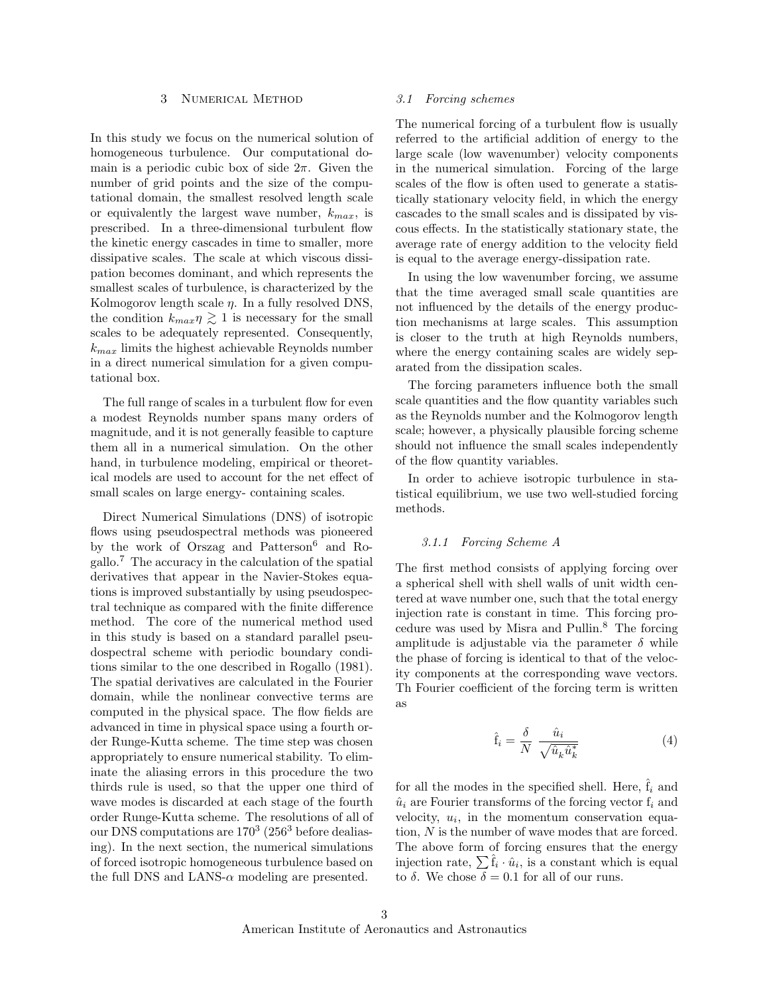#### 3 Numerical Method

In this study we focus on the numerical solution of homogeneous turbulence. Our computational domain is a periodic cubic box of side  $2\pi$ . Given the number of grid points and the size of the computational domain, the smallest resolved length scale or equivalently the largest wave number,  $k_{max}$ , is prescribed. In a three-dimensional turbulent flow the kinetic energy cascades in time to smaller, more dissipative scales. The scale at which viscous dissipation becomes dominant, and which represents the smallest scales of turbulence, is characterized by the Kolmogorov length scale  $\eta$ . In a fully resolved DNS, the condition  $k_{max} \eta \gtrsim 1$  is necessary for the small scales to be adequately represented. Consequently,  $k_{max}$  limits the highest achievable Reynolds number<br>in a direct numerical simulation for a given server. in a direct numerical simulation for a given computational box.

The full range of scales in a turbulent flow for even a modest Reynolds number spans many orders of magnitude, and it is not generally feasible to capture them all in a numerical simulation. On the other hand, in turbulence modeling, empirical or theoretical models are used to account for the net effect of small scales on large energy- containing scales.

Direct Numerical Simulations (DNS) of isotropic flows using pseudospectral methods was pioneered by the work of Orszag and Patterson<sup>6</sup> and Rogallo.<sup>7</sup> The accuracy in the calculation of the spatial derivatives that appear in the Navier-Stokes equations is improved substantially by using pseudospectral technique as compared with the finite difference method. The core of the numerical method used in this study is based on a standard parallel pseudospectral scheme with periodic boundary conditions similar to the one described in Rogallo (1981). The spatial derivatives are calculated in the Fourier domain, while the nonlinear convective terms are computed in the physical space. The flow fields are advanced in time in physical space using a fourth order Runge-Kutta scheme. The time step was chosen appropriately to ensure numerical stability. To eliminate the aliasing errors in this procedure the two thirds rule is used, so that the upper one third of wave modes is discarded at each stage of the fourth order Runge-Kutta scheme. The resolutions of all of our DNS computations are  $170^3$  (256<sup>3</sup> before dealiasing). In the next section, the numerical simulations of forced isotropic homogeneous turbulence based on the full DNS and LANS- $\alpha$  modeling are presented.

### *3.1 Forcing schemes*

The numerical forcing of a turbulent flow is usually referred to the artificial addition of energy to the large scale (low wavenumber) velocity components in the numerical simulation. Forcing of the large scales of the flow is often used to generate a statistically stationary velocity field, in which the energy cascades to the small scales and is dissipated by viscous effects. In the statistically stationary state, the average rate of energy addition to the velocity field is equal to the average energy-dissipation rate.

In using the low wavenumber forcing, we assume that the time averaged small scale quantities are not influenced by the details of the energy production mechanisms at large scales. This assumption is closer to the truth at high Reynolds numbers, where the energy containing scales are widely separated from the dissipation scales.

The forcing parameters influence both the small scale quantities and the flow quantity variables such as the Reynolds number and the Kolmogorov length scale; however, a physically plausible forcing scheme should not influence the small scales independently of the flow quantity variables.

In order to achieve isotropic turbulence in statistical equilibrium, we use two well-studied forcing methods.

#### *3.1.1 Forcing Scheme A*

The first method consists of applying forcing over a spherical shell with shell walls of unit width centered at wave number one, such that the total energy injection rate is constant in time. This forcing procedure was used by Misra and Pullin.<sup>8</sup> The forcing amplitude is adjustable via the parameter  $\delta$  while the phase of forcing is identical to that of the velocity components at the corresponding wave vectors. Th Fourier coefficient of the forcing term is written as

$$
\hat{\mathbf{f}}_i = \frac{\delta}{N} \frac{\hat{u}_i}{\sqrt{\hat{u}_k \hat{u}_k^*}}
$$
\n(4)

for all the modes in the specified shell. Here,  $\hat{f}_i$  and  $\hat{u}_i$  are Fourier transforms of the forcing vector  $f_i$  and velocity,  $u_i$ , in the momentum conservation equation, N is the number of wave modes that are forced. The above form of forcing ensures that the energy injection rate,  $\sum \hat{f}_i \cdot \hat{u}_i$ , is a constant which is equal to  $\delta$ . We chose  $\delta = 0.1$  for all of our runs.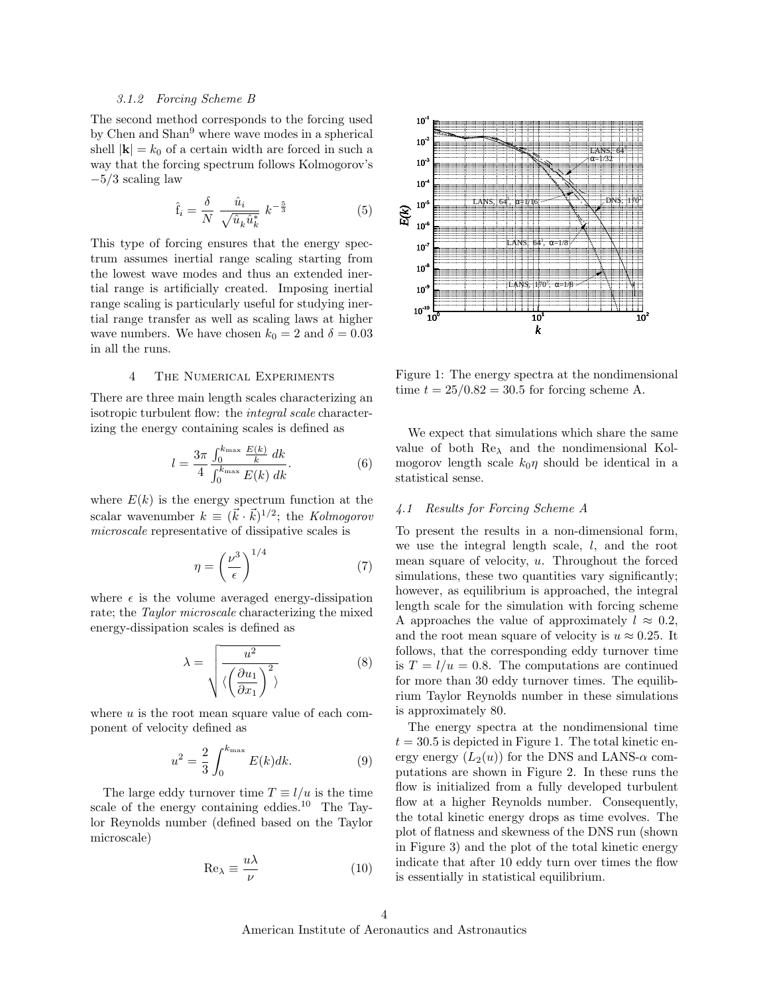#### *3.1.2 Forcing Scheme B*

The second method corresponds to the forcing used by Chen and Shan<sup>9</sup> where wave modes in a spherical shell  $|\mathbf{k}| = k_0$  of a certain width are forced in such a way that the forcing spectrum follows Kolmogorov's  $-5/3$  scaling law

$$
\hat{\mathbf{f}}_i = \frac{\delta}{N} \frac{\hat{u}_i}{\sqrt{\hat{u}_k \hat{u}_k^*}} k^{-\frac{5}{3}}
$$
(5)

This type of forcing ensures that the energy spectrum assumes inertial range scaling starting from the lowest wave modes and thus an extended inertial range is artificially created. Imposing inertial range scaling is particularly useful for studying inertial range transfer as well as scaling laws at higher wave numbers. We have chosen  $k_0 = 2$  and  $\delta = 0.03$ in all the runs.

#### 4 The Numerical Experiments

There are three main length scales characterizing an isotropic turbulent flow: the *integral scale* characterizing the energy containing scales is defined as

$$
l = \frac{3\pi}{4} \frac{\int_0^{k_{\text{max}}} \frac{E(k)}{k} dk}{\int_0^{k_{\text{max}}} E(k) dk}.
$$
 (6)

where  $E(k)$  is the energy spectrum function at the scalar wavenumber  $k \equiv (\vec{k} \cdot \vec{k})^{1/2}$ ; the *Kolmogorov microscale* representative of dissipative scales is

$$
\eta = \left(\frac{\nu^3}{\epsilon}\right)^{1/4} \tag{7}
$$

where  $\epsilon$  is the volume averaged energy-dissipation rate; the *Taylor microscale* characterizing the mixed energy-dissipation scales is defined as

$$
\lambda = \sqrt{\frac{u^2}{\langle \left(\frac{\partial u_1}{\partial x_1}\right)^2 \rangle}}
$$
(8)

where  $u$  is the root mean square value of each component of velocity defined as

$$
u^{2} = \frac{2}{3} \int_{0}^{k_{\text{max}}} E(k)dk.
$$
 (9)

The large eddy turnover time  $T \equiv l/u$  is the time scale of the energy containing eddies.<sup>10</sup> The Taylor Reynolds number (defined based on the Taylor microscale)

$$
\text{Re}_{\lambda} \equiv \frac{u\lambda}{\nu} \tag{10}
$$



Figure 1: The energy spectra at the nondimensional time  $t = 25/0.82 = 30.5$  for forcing scheme A.

We expect that simulations which share the same value of both  $\text{Re}\lambda$  and the nondimensional Kolmogorov length scale  $k_0\eta$  should be identical in a statistical sense.

### *4.1 Results for Forcing Scheme A*

To present the results in a non-dimensional form, we use the integral length scale, l, and the root mean square of velocity, u. Throughout the forced simulations, these two quantities vary significantly; however, as equilibrium is approached, the integral length scale for the simulation with forcing scheme A approaches the value of approximately  $l \approx 0.2$ , and the root mean square of velocity is  $u \approx 0.25$ . It follows, that the corresponding eddy turnover time is  $T = l/u = 0.8$ . The computations are continued for more than 30 eddy turnover times. The equilibrium Taylor Reynolds number in these simulations is approximately 80.

The energy spectra at the nondimensional time  $t = 30.5$  is depicted in Figure 1. The total kinetic energy energy  $(L_2(u))$  for the DNS and LANS- $\alpha$  computations are shown in Figure 2. In these runs the flow is initialized from a fully developed turbulent flow at a higher Reynolds number. Consequently, the total kinetic energy drops as time evolves. The plot of flatness and skewness of the DNS run (shown in Figure 3) and the plot of the total kinetic energy indicate that after 10 eddy turn over times the flow is essentially in statistical equilibrium.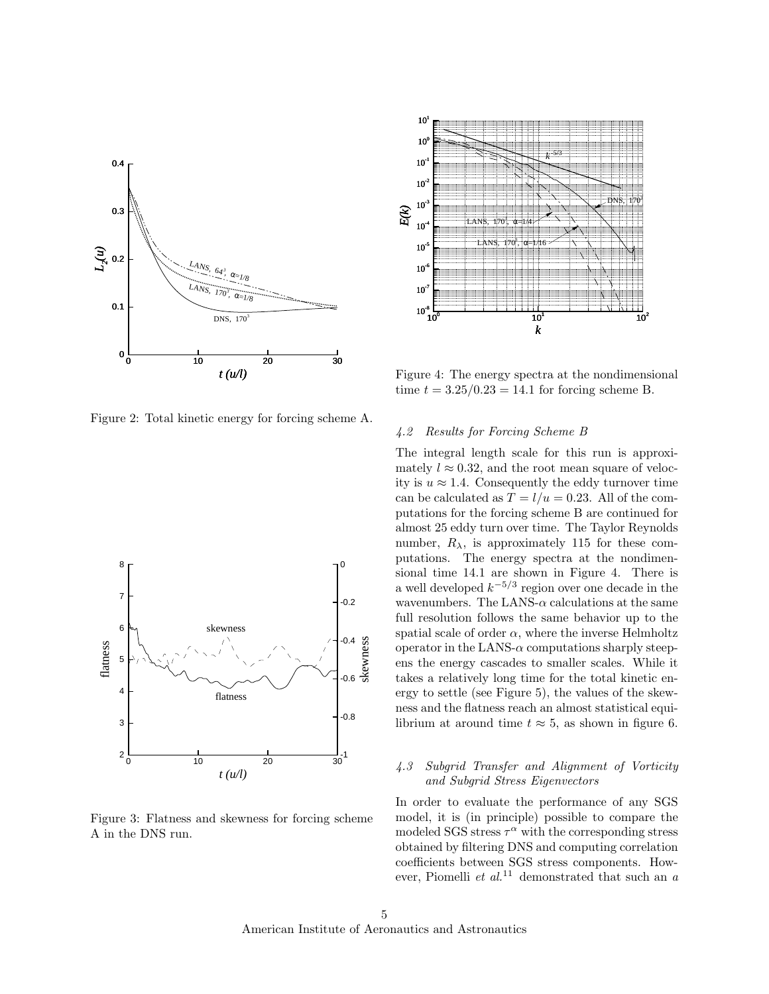



Figure 2: Total kinetic energy for forcing scheme A.



Figure 3: Flatness and skewness for forcing scheme A in the DNS run.

Figure 4: The energy spectra at the nondimensional time  $t = 3.25/0.23 = 14.1$  for forcing scheme B.

### *4.2 Results for Forcing Scheme B*

The integral length scale for this run is approximately  $l \approx 0.32$ , and the root mean square of velocity is  $u \approx 1.4$ . Consequently the eddy turnover time can be calculated as  $T = l/u = 0.23$ . All of the computations for the forcing scheme B are continued for almost 25 eddy turn over time. The Taylor Reynolds number,  $R_{\lambda}$ , is approximately 115 for these computations. The energy spectra at the nondimensional time 14.1 are shown in Figure 4. There is a well developed  $k^{-5/3}$  region over one decade in the wavenumbers. The LANS- $\alpha$  calculations at the same full resolution follows the same behavior up to the spatial scale of order  $\alpha$ , where the inverse Helmholtz operator in the LANS- $\alpha$  computations sharply steepens the energy cascades to smaller scales. While it takes a relatively long time for the total kinetic energy to settle (see Figure 5), the values of the skewness and the flatness reach an almost statistical equilibrium at around time  $t \approx 5$ , as shown in figure 6.

## *4.3 Subgrid Transfer and Alignment of Vorticity and Subgrid Stress Eigenvectors*

In order to evaluate the performance of any SGS model, it is (in principle) possible to compare the modeled SGS stress  $\tau^{\alpha}$  with the corresponding stress obtained by filtering DNS and computing correlation coefficients between SGS stress components. However, Piomelli *et al.*<sup>11</sup> demonstrated that such an *a*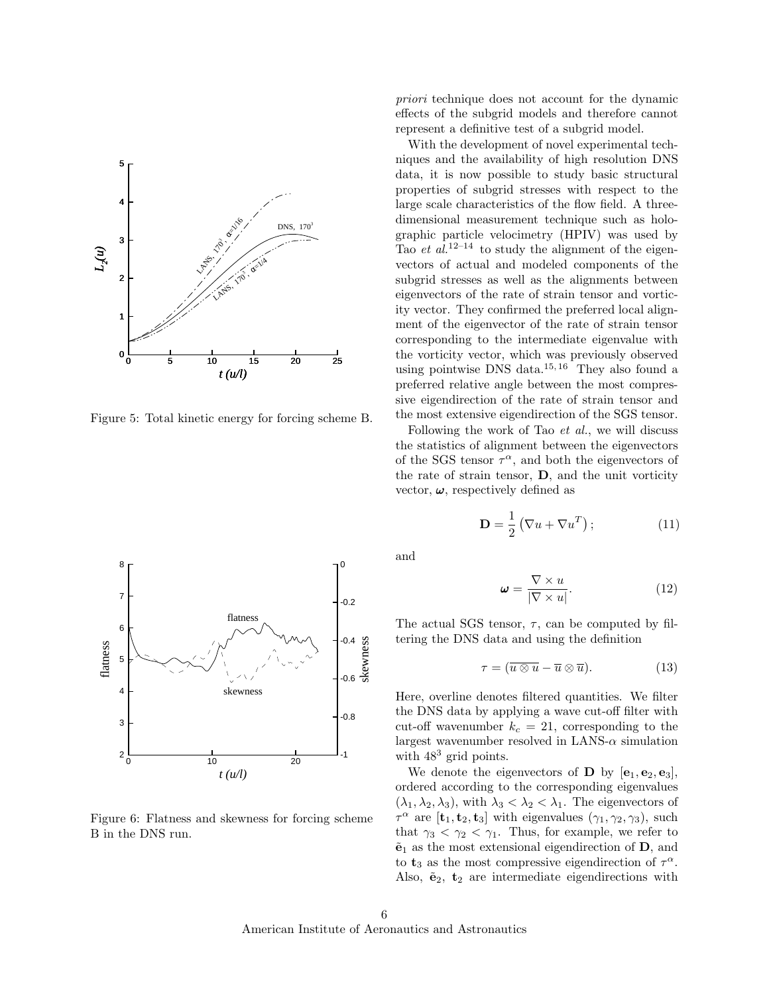

Figure 5: Total kinetic energy for forcing scheme B.



Figure 6: Flatness and skewness for forcing scheme B in the DNS run.

*priori* technique does not account for the dynamic effects of the subgrid models and therefore cannot represent a definitive test of a subgrid model.

With the development of novel experimental techniques and the availability of high resolution DNS data, it is now possible to study basic structural properties of subgrid stresses with respect to the large scale characteristics of the flow field. A threedimensional measurement technique such as holographic particle velocimetry (HPIV) was used by Tao *et al.*<sup>12–14</sup> to study the alignment of the eigenvectors of actual and modeled components of the subgrid stresses as well as the alignments between eigenvectors of the rate of strain tensor and vorticity vector. They confirmed the preferred local alignment of the eigenvector of the rate of strain tensor corresponding to the intermediate eigenvalue with the vorticity vector, which was previously observed using pointwise DNS data.<sup>15, 16</sup> They also found a preferred relative angle between the most compressive eigendirection of the rate of strain tensor and the most extensive eigendirection of the SGS tensor.

Following the work of Tao *et al.*, we will discuss the statistics of alignment between the eigenvectors of the SGS tensor  $\tau^{\alpha}$ , and both the eigenvectors of the rate of strain tensor, **D**, and the unit vorticity vector,  $\omega$ , respectively defined as

$$
\mathbf{D} = \frac{1}{2} \left( \nabla u + \nabla u^T \right); \tag{11}
$$

and

$$
\omega = \frac{\nabla \times u}{|\nabla \times u|}.
$$
 (12)

The actual SGS tensor,  $\tau$ , can be computed by filtering the DNS data and using the definition

$$
\tau = (\overline{u \otimes u} - \overline{u} \otimes \overline{u}). \tag{13}
$$

Here, overline denotes filtered quantities. We filter the DNS data by applying a wave cut-off filter with cut-off wavenumber  $k_c = 21$ , corresponding to the largest wavenumber resolved in LANS- $\alpha$  simulation with  $48<sup>3</sup>$  grid points.

We denote the eigenvectors of **D** by  $[\mathbf{e}_1, \mathbf{e}_2, \mathbf{e}_3]$ , ordered according to the corresponding eigenvalues  $(\lambda_1, \lambda_2, \lambda_3)$ , with  $\lambda_3 < \lambda_2 < \lambda_1$ . The eigenvectors of  $\tau^{\alpha}$  are  $[\mathbf{t}_1, \mathbf{t}_2, \mathbf{t}_3]$  with eigenvalues  $(\gamma_1, \gamma_2, \gamma_3)$ , such that  $\gamma_3 < \gamma_2 < \gamma_1$ . Thus, for example, we refer to  $\tilde{\mathbf{e}}_1$  as the most extensional eigendirection of  $\mathbf{D}$ , and to **t**<sub>3</sub> as the most compressive eigendirection of  $\tau^{\alpha}$ . Also,  $\tilde{\mathbf{e}}_2$ ,  $\mathbf{t}_2$  are intermediate eigendirections with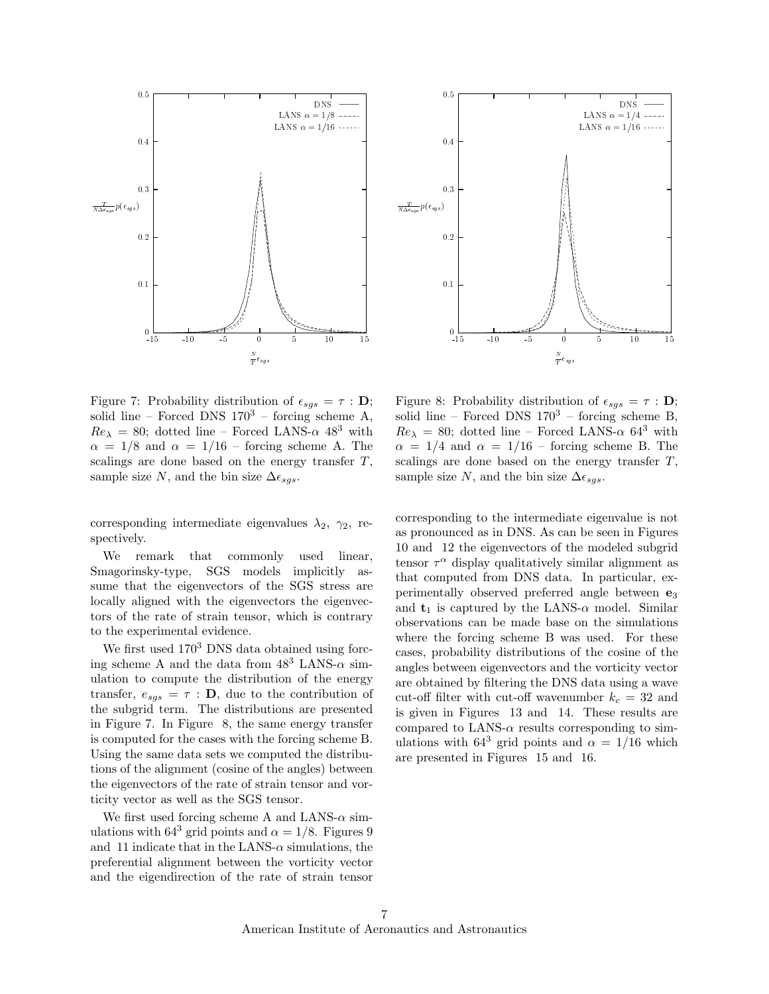



Figure 7: Probability distribution of  $\epsilon_{sgs} = \tau : \mathbf{D}$ ; solid line – Forced DNS  $170^3$  – forcing scheme A,  $Re_{\lambda} = 80$ ; dotted line – Forced LANS- $\alpha$  48<sup>3</sup> with  $\alpha = 1/8$  and  $\alpha = 1/16$  – forcing scheme A. The scalings are done based on the energy transfer  $T$ , sample size N, and the bin size  $\Delta \epsilon_{sgs}$ .

corresponding intermediate eigenvalues  $\lambda_2$ ,  $\gamma_2$ , respectively.

We remark that commonly used linear, Smagorinsky-type, SGS models implicitly assume that the eigenvectors of the SGS stress are locally aligned with the eigenvectors the eigenvectors of the rate of strain tensor, which is contrary to the experimental evidence.

We first used  $170<sup>3</sup>$  DNS data obtained using forcing scheme A and the data from  $48^3$  LANS- $\alpha$  simulation to compute the distribution of the energy transfer,  $e_{sgs} = \tau : \mathbf{D}$ , due to the contribution of the subgrid term. The distributions are presented in Figure 7. In Figure 8, the same energy transfer is computed for the cases with the forcing scheme B. Using the same data sets we computed the distributions of the alignment (cosine of the angles) between the eigenvectors of the rate of strain tensor and vorticity vector as well as the SGS tensor.

We first used forcing scheme A and LANS- $\alpha$  simulations with 64<sup>3</sup> grid points and  $\alpha = 1/8$ . Figures 9 and 11 indicate that in the LANS- $\alpha$  simulations, the preferential alignment between the vorticity vector and the eigendirection of the rate of strain tensor

Figure 8: Probability distribution of  $\epsilon_{sgs} = \tau : \mathbf{D}$ ; solid line – Forced DNS  $170^3$  – forcing scheme B,  $Re_{\lambda} = 80$ ; dotted line – Forced LANS- $\alpha$  64<sup>3</sup> with  $\alpha = 1/4$  and  $\alpha = 1/16$  – forcing scheme B. The scalings are done based on the energy transfer  $T$ , sample size N, and the bin size  $\Delta \epsilon_{sgs}$ .

corresponding to the intermediate eigenvalue is not as pronounced as in DNS. As can be seen in Figures 10 and 12 the eigenvectors of the modeled subgrid tensor  $\tau^{\alpha}$  display qualitatively similar alignment as that computed from DNS data. In particular, experimentally observed preferred angle between **e**<sup>3</sup> and  $t_1$  is captured by the LANS- $\alpha$  model. Similar observations can be made base on the simulations where the forcing scheme B was used. For these cases, probability distributions of the cosine of the angles between eigenvectors and the vorticity vector are obtained by filtering the DNS data using a wave cut-off filter with cut-off wavenumber  $k_c = 32$  and is given in Figures 13 and 14. These results are compared to LANS- $\alpha$  results corresponding to simulations with 64<sup>3</sup> grid points and  $\alpha = 1/16$  which are presented in Figures 15 and 16.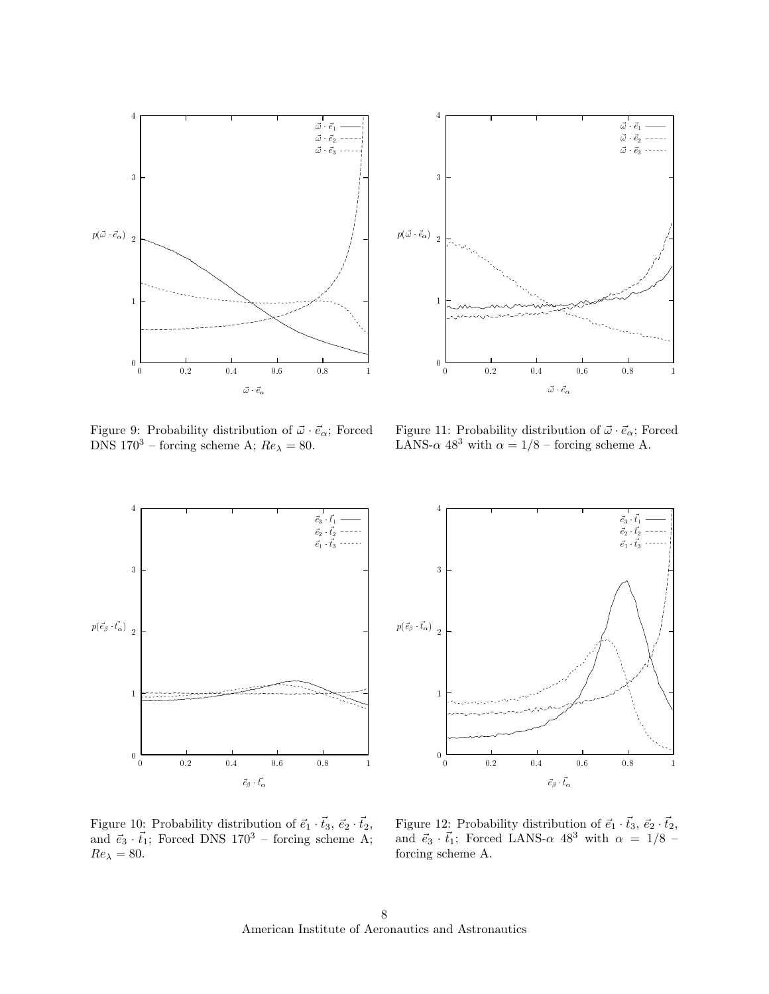



Figure 9: Probability distribution of  $\vec{\omega} \cdot \vec{e}_{\alpha}$ ; Forced DNS  $170^3$  – forcing scheme A;  $Re_{\lambda} = 80$ .

Figure 11: Probability distribution of  $\vec{\omega} \cdot \vec{e}_{\alpha}$ ; Forced LANS- $\alpha$  48<sup>3</sup> with  $\alpha = 1/8$  – forcing scheme A.



Figure 10: Probability distribution of  $\vec{e}_1 \cdot \vec{t}_3$ ,  $\vec{e}_2 \cdot \vec{t}_2$ , and  $\vec{e}_3 \cdot \vec{t}_1$ ; Forced DNS 170<sup>3</sup> – forcing scheme A;  $Re_{\lambda} = 80.$ 

Figure 12: Probability distribution of  $\vec{e}_1 \cdot \vec{t}_3$ ,  $\vec{e}_2 \cdot \vec{t}_2$ , and  $\vec{e}_3 \cdot \vec{t}_1$ ; Forced LANS- $\alpha$  48<sup>3</sup> with  $\alpha = 1/8$  – forcing scheme A.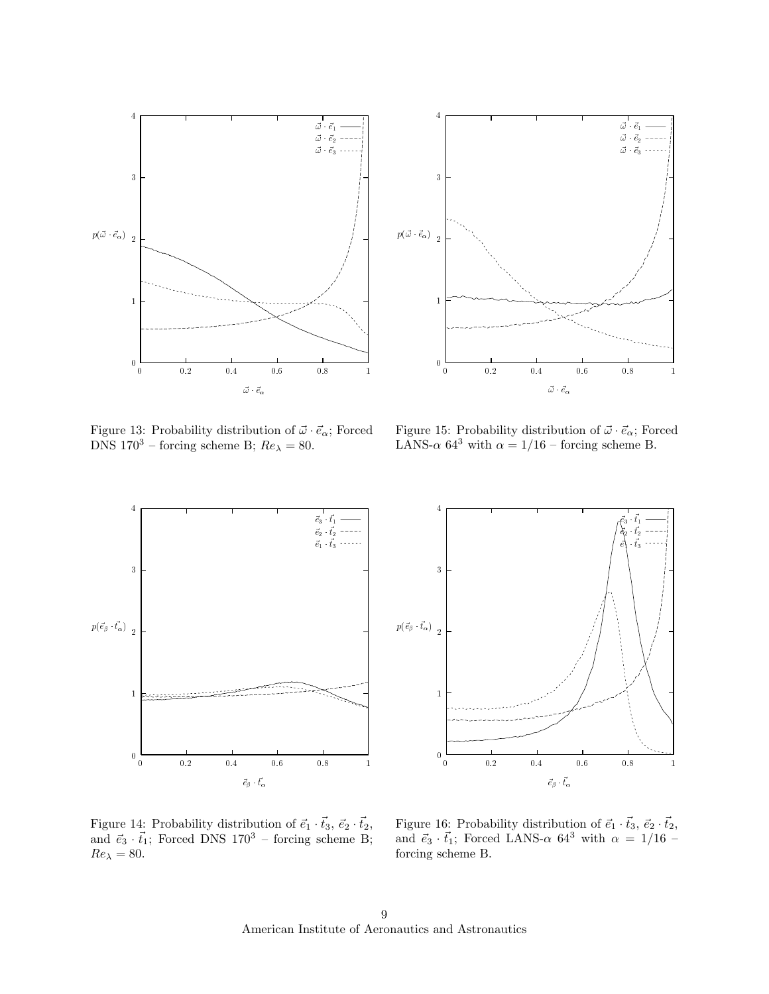



Figure 13: Probability distribution of  $\vec{\omega} \cdot \vec{e}_{\alpha}$ ; Forced DNS 170<sup>3</sup> – forcing scheme B;  $Re_{\lambda} = 80$ .

Figure 15: Probability distribution of  $\vec{\omega} \cdot \vec{e}_{\alpha}$ ; Forced LANS- $\alpha$  64<sup>3</sup> with  $\alpha = 1/16$  – forcing scheme B.



Figure 14: Probability distribution of  $\vec{e}_1 \cdot \vec{t}_3$ ,  $\vec{e}_2 \cdot \vec{t}_2$ , and  $\vec{e}_3 \cdot \vec{t}_1$ ; Forced DNS 170<sup>3</sup> – forcing scheme B;  $Re_{\lambda} = 80.$ 

Figure 16: Probability distribution of  $\vec{e}_1 \cdot \vec{t}_3$ ,  $\vec{e}_2 \cdot \vec{t}_2$ , and  $\vec{e}_3 \cdot \vec{t}_1$ ; Forced LANS- $\alpha$  64<sup>3</sup> with  $\alpha = 1/16$ forcing scheme B.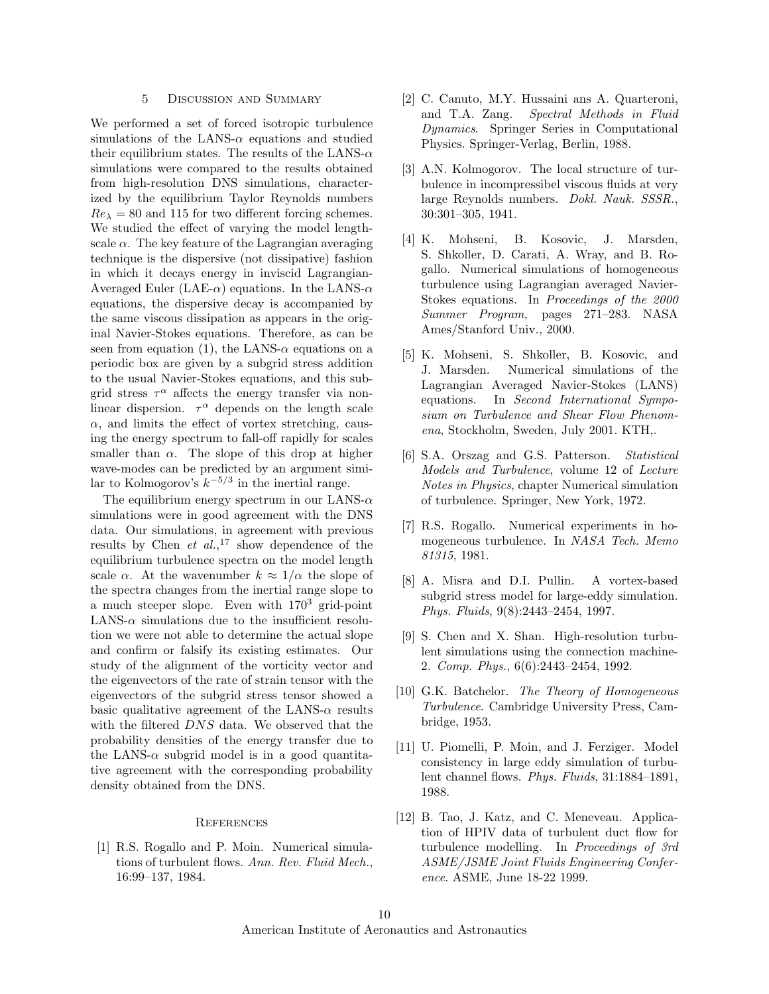#### 5 Discussion and Summary

We performed a set of forced isotropic turbulence simulations of the LANS- $\alpha$  equations and studied their equilibrium states. The results of the LANS- $\alpha$ simulations were compared to the results obtained from high-resolution DNS simulations, characterized by the equilibrium Taylor Reynolds numbers  $Re_{\lambda} = 80$  and 115 for two different forcing schemes. We studied the effect of varying the model lengthscale  $\alpha$ . The key feature of the Lagrangian averaging technique is the dispersive (not dissipative) fashion in which it decays energy in inviscid Lagrangian-Averaged Euler (LAE- $\alpha$ ) equations. In the LANS- $\alpha$ equations, the dispersive decay is accompanied by the same viscous dissipation as appears in the original Navier-Stokes equations. Therefore, as can be seen from equation (1), the LANS- $\alpha$  equations on a periodic box are given by a subgrid stress addition to the usual Navier-Stokes equations, and this subgrid stress  $\tau^{\alpha}$  affects the energy transfer via nonlinear dispersion.  $\tau^{\alpha}$  depends on the length scale  $\alpha$ , and limits the effect of vortex stretching, causing the energy spectrum to fall-off rapidly for scales smaller than  $\alpha$ . The slope of this drop at higher wave-modes can be predicted by an argument similar to Kolmogorov's  $k^{-5/3}$  in the inertial range.

The equilibrium energy spectrum in our LANS- $\alpha$ simulations were in good agreement with the DNS data. Our simulations, in agreement with previous results by Chen *et al.*, <sup>17</sup> show dependence of the equilibrium turbulence spectra on the model length scale  $\alpha$ . At the wavenumber  $k \approx 1/\alpha$  the slope of the spectra changes from the inertial range slope to a much steeper slope. Even with 170<sup>3</sup> grid-point LANS- $\alpha$  simulations due to the insufficient resolution we were not able to determine the actual slope and confirm or falsify its existing estimates. Our study of the alignment of the vorticity vector and the eigenvectors of the rate of strain tensor with the eigenvectors of the subgrid stress tensor showed a basic qualitative agreement of the LANS- $\alpha$  results with the filtered DNS data. We observed that the probability densities of the energy transfer due to the LANS- $\alpha$  subgrid model is in a good quantitative agreement with the corresponding probability density obtained from the DNS.

### **REFERENCES**

[1] R.S. Rogallo and P. Moin. Numerical simulations of turbulent flows. *Ann. Rev. Fluid Mech.*, 16:99–137, 1984.

- [2] C. Canuto, M.Y. Hussaini ans A. Quarteroni, and T.A. Zang. *Spectral Methods in Fluid Dynamics*. Springer Series in Computational Physics. Springer-Verlag, Berlin, 1988.
- [3] A.N. Kolmogorov. The local structure of turbulence in incompressibel viscous fluids at very large Reynolds numbers. *Dokl. Nauk. SSSR.*, 30:301–305, 1941.
- [4] K. Mohseni, B. Kosovic, J. Marsden, S. Shkoller, D. Carati, A. Wray, and B. Rogallo. Numerical simulations of homogeneous turbulence using Lagrangian averaged Navier-Stokes equations. In *Proceedings of the 2000 Summer Program*, pages 271–283. NASA Ames/Stanford Univ., 2000.
- [5] K. Mohseni, S. Shkoller, B. Kosovic, and J. Marsden. Numerical simulations of the Lagrangian Averaged Navier-Stokes (LANS) equations. In *Second International Symposium on Turbulence and Shear Flow Phenomena*, Stockholm, Sweden, July 2001. KTH,.
- [6] S.A. Orszag and G.S. Patterson. *Statistical Models and Turbulence*, volume 12 of *Lecture Notes in Physics*, chapter Numerical simulation of turbulence. Springer, New York, 1972.
- [7] R.S. Rogallo. Numerical experiments in homogeneous turbulence. In *NASA Tech. Memo 81315*, 1981.
- [8] A. Misra and D.I. Pullin. A vortex-based subgrid stress model for large-eddy simulation. *Phys. Fluids*, 9(8):2443–2454, 1997.
- [9] S. Chen and X. Shan. High-resolution turbulent simulations using the connection machine-2. *Comp. Phys.*, 6(6):2443–2454, 1992.
- [10] G.K. Batchelor. *The Theory of Homogeneous Turbulence*. Cambridge University Press, Cambridge, 1953.
- [11] U. Piomelli, P. Moin, and J. Ferziger. Model consistency in large eddy simulation of turbulent channel flows. *Phys. Fluids*, 31:1884–1891, 1988.
- [12] B. Tao, J. Katz, and C. Meneveau. Application of HPIV data of turbulent duct flow for turbulence modelling. In *Proceedings of 3rd ASME/JSME Joint Fluids Engineering Conference*. ASME, June 18-22 1999.